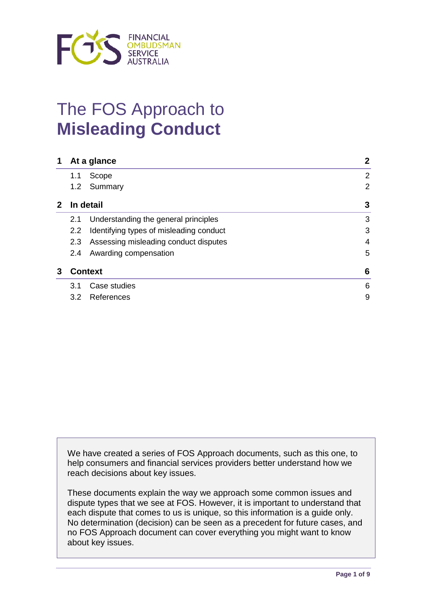

# The FOS Approach to **Misleading Conduct**

| 1            | At a glance    |                                         | $\mathbf{2}$   |
|--------------|----------------|-----------------------------------------|----------------|
|              | 1.1            | Scope                                   | $\overline{2}$ |
|              | 1.2            | Summary                                 | $\overline{2}$ |
| $\mathbf{2}$ | In detail      |                                         | 3              |
|              | 2.1            | Understanding the general principles    | 3              |
|              | $2.2^{\circ}$  | Identifying types of misleading conduct | 3              |
|              | 2.3            | Assessing misleading conduct disputes   | 4              |
|              | 2.4            | Awarding compensation                   | 5              |
| 3            | <b>Context</b> |                                         | 6              |
|              | 3.1            | Case studies                            | 6              |
|              | 3.2            | References                              | 9              |

We have created a series of FOS Approach documents, such as this one, to help consumers and financial services providers better understand how we reach decisions about key issues.

These documents explain the way we approach some common issues and dispute types that we see at FOS. However, it is important to understand that each dispute that comes to us is unique, so this information is a guide only. No determination (decision) can be seen as a precedent for future cases, and no FOS Approach document can cover everything you might want to know about key issues.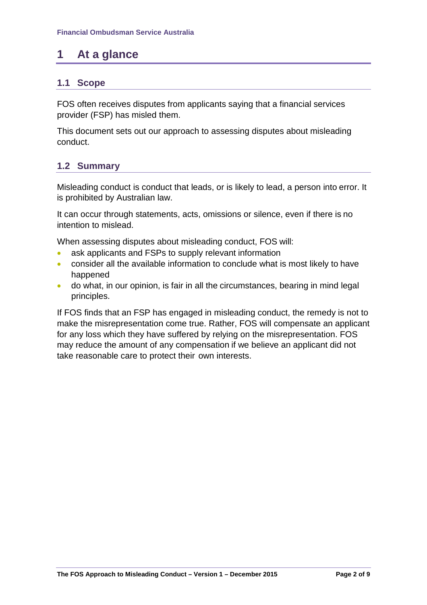# **1 At a glance**

## **1.1 Scope**

FOS often receives disputes from applicants saying that a financial services provider (FSP) has misled them.

This document sets out our approach to assessing disputes about misleading conduct.

## **1.2 Summary**

Misleading conduct is conduct that leads, or is likely to lead, a person into error. It is prohibited by Australian law.

It can occur through statements, acts, omissions or silence, even if there is no intention to mislead.

When assessing disputes about misleading conduct, FOS will:

- ask applicants and FSPs to supply relevant information
- consider all the available information to conclude what is most likely to have happened
- do what, in our opinion, is fair in all the circumstances, bearing in mind legal principles.

If FOS finds that an FSP has engaged in misleading conduct, the remedy is not to make the misrepresentation come true. Rather, FOS will compensate an applicant for any loss which they have suffered by relying on the misrepresentation. FOS may reduce the amount of any compensation if we believe an applicant did not take reasonable care to protect their own interests.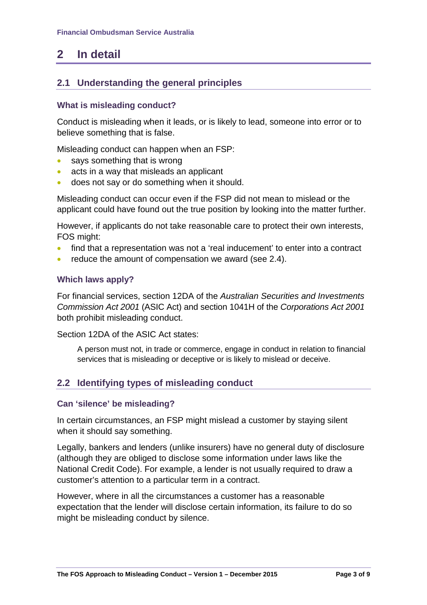# **2 In detail**

## **2.1 Understanding the general principles**

#### **What is misleading conduct?**

Conduct is misleading when it leads, or is likely to lead, someone into error or to believe something that is false.

Misleading conduct can happen when an FSP:

- says something that is wrong
- acts in a way that misleads an applicant
- does not say or do something when it should.

Misleading conduct can occur even if the FSP did not mean to mislead or the applicant could have found out the true position by looking into the matter further.

However, if applicants do not take reasonable care to protect their own interests, FOS might:

- find that a representation was not a 'real inducement' to enter into a contract
- reduce the amount of compensation we award (see 2.4).

#### **Which laws apply?**

For financial services, section 12DA of the *Australian Securities and Investments Commission Act 2001* (ASIC Act) and section 1041H of the *Corporations Act 2001* both prohibit misleading conduct.

Section 12DA of the ASIC Act states:

A person must not, in trade or commerce, engage in conduct in relation to financial services that is misleading or deceptive or is likely to mislead or deceive.

#### **2.2 Identifying types of misleading conduct**

#### **Can 'silence' be misleading?**

In certain circumstances, an FSP might mislead a customer by staying silent when it should say something.

Legally, bankers and lenders (unlike insurers) have no general duty of disclosure (although they are obliged to disclose some information under laws like the National Credit Code). For example, a lender is not usually required to draw a customer's attention to a particular term in a contract.

However, where in all the circumstances a customer has a reasonable expectation that the lender will disclose certain information, its failure to do so might be misleading conduct by silence.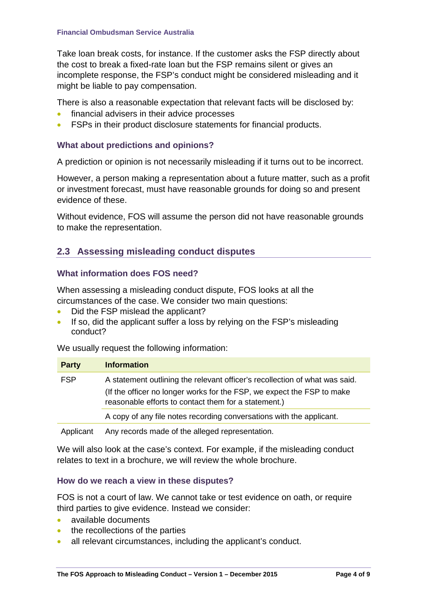Take loan break costs, for instance. If the customer asks the FSP directly about the cost to break a fixed-rate loan but the FSP remains silent or gives an incomplete response, the FSP's conduct might be considered misleading and it might be liable to pay compensation.

There is also a reasonable expectation that relevant facts will be disclosed by:

- financial advisers in their advice processes
- FSPs in their product disclosure statements for financial products.

#### **What about predictions and opinions?**

A prediction or opinion is not necessarily misleading if it turns out to be incorrect.

However, a person making a representation about a future matter, such as a profit or investment forecast, must have reasonable grounds for doing so and present evidence of these.

Without evidence, FOS will assume the person did not have reasonable grounds to make the representation.

#### **2.3 Assessing misleading conduct disputes**

#### **What information does FOS need?**

When assessing a misleading conduct dispute, FOS looks at all the circumstances of the case. We consider two main questions:

- Did the FSP mislead the applicant?
- If so, did the applicant suffer a loss by relying on the FSP's misleading conduct?

We usually request the following information:

| <b>Party</b> | <b>Information</b>                                                                                                                                                                                            |
|--------------|---------------------------------------------------------------------------------------------------------------------------------------------------------------------------------------------------------------|
| <b>FSP</b>   | A statement outlining the relevant officer's recollection of what was said.<br>(If the officer no longer works for the FSP, we expect the FSP to make<br>reasonable efforts to contact them for a statement.) |
|              | A copy of any file notes recording conversations with the applicant.                                                                                                                                          |
|              |                                                                                                                                                                                                               |

Applicant Any records made of the alleged representation.

We will also look at the case's context. For example, if the misleading conduct relates to text in a brochure, we will review the whole brochure.

#### **How do we reach a view in these disputes?**

FOS is not a court of law. We cannot take or test evidence on oath, or require third parties to give evidence. Instead we consider:

- available documents
- the recollections of the parties
- all relevant circumstances, including the applicant's conduct.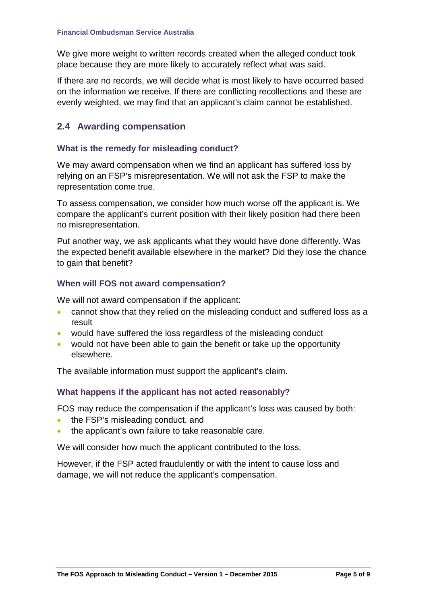We give more weight to written records created when the alleged conduct took place because they are more likely to accurately reflect what was said.

If there are no records, we will decide what is most likely to have occurred based on the information we receive. If there are conflicting recollections and these are evenly weighted, we may find that an applicant's claim cannot be established.

# **2.4 Awarding compensation**

#### **What is the remedy for misleading conduct?**

We may award compensation when we find an applicant has suffered loss by relying on an FSP's misrepresentation. We will not ask the FSP to make the representation come true.

To assess compensation, we consider how much worse off the applicant is. We compare the applicant's current position with their likely position had there been no misrepresentation.

Put another way, we ask applicants what they would have done differently. Was the expected benefit available elsewhere in the market? Did they lose the chance to gain that benefit?

#### **When will FOS not award compensation?**

We will not award compensation if the applicant:

- cannot show that they relied on the misleading conduct and suffered loss as a result
- would have suffered the loss regardless of the misleading conduct
- would not have been able to gain the benefit or take up the opportunity elsewhere.

The available information must support the applicant's claim.

#### **What happens if the applicant has not acted reasonably?**

FOS may reduce the compensation if the applicant's loss was caused by both:

- the FSP's misleading conduct, and
- the applicant's own failure to take reasonable care.

We will consider how much the applicant contributed to the loss.

However, if the FSP acted fraudulently or with the intent to cause loss and damage, we will not reduce the applicant's compensation.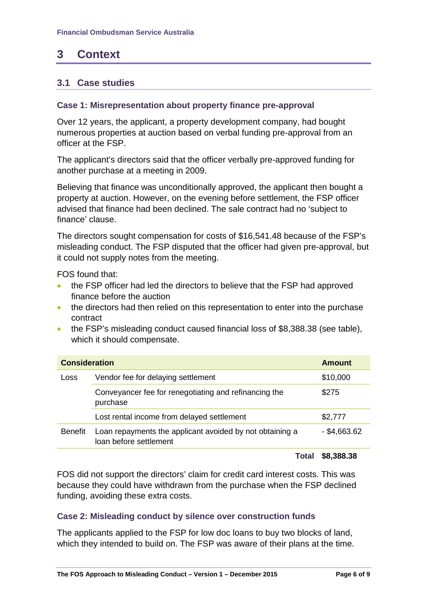# **3 Context**

#### **3.1 Case studies**

#### **Case 1: Misrepresentation about property finance pre-approval**

Over 12 years, the applicant, a property development company, had bought numerous properties at auction based on verbal funding pre-approval from an officer at the FSP.

The applicant's directors said that the officer verbally pre-approved funding for another purchase at a meeting in 2009.

Believing that finance was unconditionally approved, the applicant then bought a property at auction. However, on the evening before settlement, the FSP officer advised that finance had been declined. The sale contract had no 'subject to finance' clause.

The directors sought compensation for costs of \$16,541.48 because of the FSP's misleading conduct. The FSP disputed that the officer had given pre-approval, but it could not supply notes from the meeting.

FOS found that:

- the FSP officer had led the directors to believe that the FSP had approved finance before the auction
- the directors had then relied on this representation to enter into the purchase contract
- the FSP's misleading conduct caused financial loss of \$8,388.38 (see table), which it should compensate.

| <b>Consideration</b><br><b>Amount</b> |                                                                                    |                |
|---------------------------------------|------------------------------------------------------------------------------------|----------------|
| Loss                                  | Vendor fee for delaying settlement                                                 | \$10,000       |
|                                       | Conveyancer fee for renegotiating and refinancing the<br>purchase                  | \$275          |
|                                       | Lost rental income from delayed settlement                                         | \$2,777        |
| <b>Benefit</b>                        | Loan repayments the applicant avoided by not obtaining a<br>loan before settlement | $-$ \$4,663.62 |
|                                       | .                                                                                  |                |

**Total \$8,388.38**

FOS did not support the directors' claim for credit card interest costs. This was because they could have withdrawn from the purchase when the FSP declined funding, avoiding these extra costs.

#### **Case 2: Misleading conduct by silence over construction funds**

The applicants applied to the FSP for low doc loans to buy two blocks of land, which they intended to build on. The FSP was aware of their plans at the time.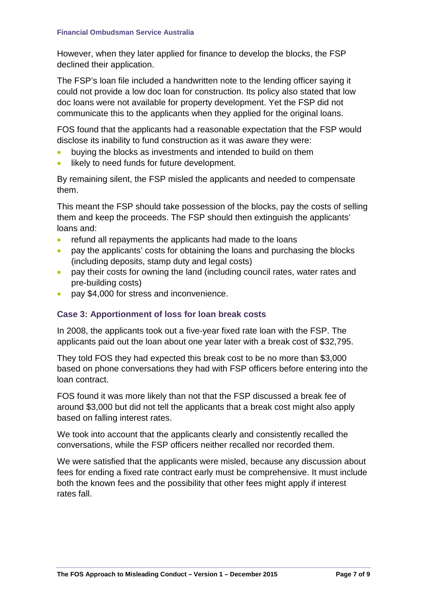However, when they later applied for finance to develop the blocks, the FSP declined their application.

The FSP's loan file included a handwritten note to the lending officer saying it could not provide a low doc loan for construction. Its policy also stated that low doc loans were not available for property development. Yet the FSP did not communicate this to the applicants when they applied for the original loans.

FOS found that the applicants had a reasonable expectation that the FSP would disclose its inability to fund construction as it was aware they were:

- buying the blocks as investments and intended to build on them
- likely to need funds for future development.

By remaining silent, the FSP misled the applicants and needed to compensate them.

This meant the FSP should take possession of the blocks, pay the costs of selling them and keep the proceeds. The FSP should then extinguish the applicants' loans and:

- refund all repayments the applicants had made to the loans
- pay the applicants' costs for obtaining the loans and purchasing the blocks (including deposits, stamp duty and legal costs)
- pay their costs for owning the land (including council rates, water rates and pre-building costs)
- pay \$4,000 for stress and inconvenience.

#### **Case 3: Apportionment of loss for loan break costs**

In 2008, the applicants took out a five-year fixed rate loan with the FSP. The applicants paid out the loan about one year later with a break cost of \$32,795.

They told FOS they had expected this break cost to be no more than \$3,000 based on phone conversations they had with FSP officers before entering into the loan contract.

FOS found it was more likely than not that the FSP discussed a break fee of around \$3,000 but did not tell the applicants that a break cost might also apply based on falling interest rates.

We took into account that the applicants clearly and consistently recalled the conversations, while the FSP officers neither recalled nor recorded them.

We were satisfied that the applicants were misled, because any discussion about fees for ending a fixed rate contract early must be comprehensive. It must include both the known fees and the possibility that other fees might apply if interest rates fall.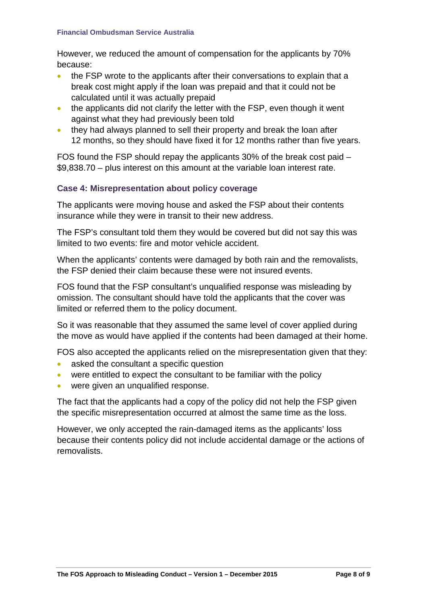#### **Financial Ombudsman Service Australia**

However, we reduced the amount of compensation for the applicants by 70% because:

- the FSP wrote to the applicants after their conversations to explain that a break cost might apply if the loan was prepaid and that it could not be calculated until it was actually prepaid
- the applicants did not clarify the letter with the FSP, even though it went against what they had previously been told
- they had always planned to sell their property and break the loan after 12 months, so they should have fixed it for 12 months rather than five years.

FOS found the FSP should repay the applicants 30% of the break cost paid – \$9,838.70 – plus interest on this amount at the variable loan interest rate.

#### **Case 4: Misrepresentation about policy coverage**

The applicants were moving house and asked the FSP about their contents insurance while they were in transit to their new address.

The FSP's consultant told them they would be covered but did not say this was limited to two events: fire and motor vehicle accident.

When the applicants' contents were damaged by both rain and the removalists, the FSP denied their claim because these were not insured events.

FOS found that the FSP consultant's unqualified response was misleading by omission. The consultant should have told the applicants that the cover was limited or referred them to the policy document.

So it was reasonable that they assumed the same level of cover applied during the move as would have applied if the contents had been damaged at their home.

FOS also accepted the applicants relied on the misrepresentation given that they:

- asked the consultant a specific question
- were entitled to expect the consultant to be familiar with the policy
- were given an unqualified response.

The fact that the applicants had a copy of the policy did not help the FSP given the specific misrepresentation occurred at almost the same time as the loss.

However, we only accepted the rain-damaged items as the applicants' loss because their contents policy did not include accidental damage or the actions of removalists.